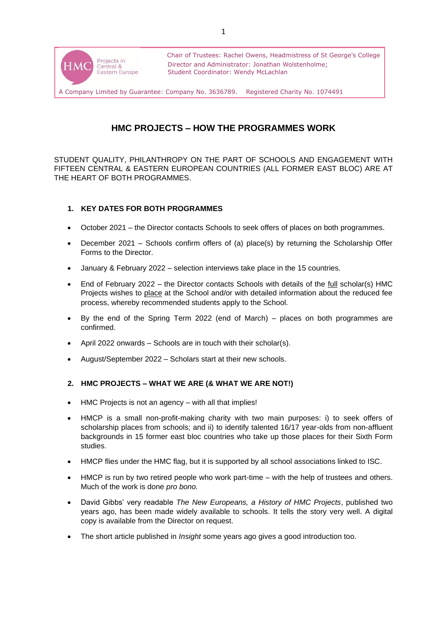

# **HMC PROJECTS – HOW THE PROGRAMMES WORK**

STUDENT QUALITY, PHILANTHROPY ON THE PART OF SCHOOLS AND ENGAGEMENT WITH FIFTEEN CENTRAL & EASTERN EUROPEAN COUNTRIES (ALL FORMER EAST BLOC) ARE AT THE HEART OF BOTH PROGRAMMES.

# **1. KEY DATES FOR BOTH PROGRAMMES**

- October 2021 the Director contacts Schools to seek offers of places on both programmes.
- December 2021 Schools confirm offers of (a) place(s) by returning the Scholarship Offer Forms to the Director.
- January & February 2022 selection interviews take place in the 15 countries.
- End of February 2022 the Director contacts Schools with details of the full scholar(s) HMC Projects wishes to place at the School and/or with detailed information about the reduced fee process, whereby recommended students apply to the School.
- By the end of the Spring Term 2022 (end of March) places on both programmes are confirmed.
- April 2022 onwards Schools are in touch with their scholar(s).
- August/September 2022 Scholars start at their new schools.

# **2. HMC PROJECTS – WHAT WE ARE (& WHAT WE ARE NOT!)**

- HMC Projects is not an agency with all that implies!
- HMCP is a small non-profit-making charity with two main purposes: i) to seek offers of scholarship places from schools; and ii) to identify talented 16/17 year-olds from non-affluent backgrounds in 15 former east bloc countries who take up those places for their Sixth Form studies.
- HMCP flies under the HMC flag, but it is supported by all school associations linked to ISC.
- HMCP is run by two retired people who work part-time with the help of trustees and others. Much of the work is done *pro bono.*
- David Gibbs' very readable *The New Europeans, a History of HMC Projects*, published two years ago, has been made widely available to schools. It tells the story very well. A digital copy is available from the Director on request.
- The short article published in *Insight* some years ago gives a good introduction too.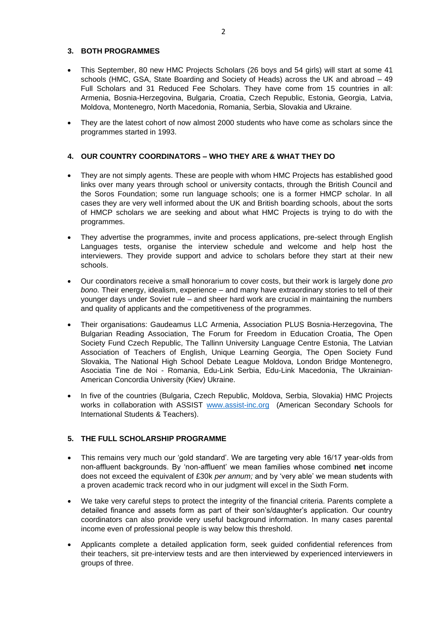# **3. BOTH PROGRAMMES**

- This September, 80 new HMC Projects Scholars (26 boys and 54 girls) will start at some 41 schools (HMC, GSA, State Boarding and Society of Heads) across the UK and abroad – 49 Full Scholars and 31 Reduced Fee Scholars. They have come from 15 countries in all: Armenia, Bosnia-Herzegovina, Bulgaria, Croatia, Czech Republic, Estonia, Georgia, Latvia, Moldova, Montenegro, North Macedonia, Romania, Serbia, Slovakia and Ukraine.
- They are the latest cohort of now almost 2000 students who have come as scholars since the programmes started in 1993.

#### **4. OUR COUNTRY COORDINATORS – WHO THEY ARE & WHAT THEY DO**

- They are not simply agents. These are people with whom HMC Projects has established good links over many years through school or university contacts, through the British Council and the Soros Foundation; some run language schools; one is a former HMCP scholar. In all cases they are very well informed about the UK and British boarding schools, about the sorts of HMCP scholars we are seeking and about what HMC Projects is trying to do with the programmes.
- They advertise the programmes, invite and process applications, pre-select through English Languages tests, organise the interview schedule and welcome and help host the interviewers. They provide support and advice to scholars before they start at their new schools.
- Our coordinators receive a small honorarium to cover costs, but their work is largely done *pro bono.* Their energy, idealism, experience – and many have extraordinary stories to tell of their younger days under Soviet rule – and sheer hard work are crucial in maintaining the numbers and quality of applicants and the competitiveness of the programmes.
- Their organisations: Gaudeamus LLC Armenia, Association PLUS Bosnia-Herzegovina, The Bulgarian Reading Association, The Forum for Freedom in Education Croatia, The Open Society Fund Czech Republic, The Tallinn University Language Centre Estonia, The Latvian Association of Teachers of English, Unique Learning Georgia, The Open Society Fund Slovakia, The National High School Debate League Moldova, London Bridge Montenegro, Asociatia Tine de Noi - Romania, Edu-Link Serbia, Edu-Link Macedonia, The Ukrainian-American Concordia University (Kiev) Ukraine.
- In five of the countries (Bulgaria, Czech Republic, Moldova, Serbia, Slovakia) HMC Projects works in collaboration with ASSIST [www.assist-inc.org](http://www.assist-inc.org/) (American Secondary Schools for International Students & Teachers).

#### **5. THE FULL SCHOLARSHIP PROGRAMME**

- This remains very much our 'gold standard'. We are targeting very able 16/17 year-olds from non-affluent backgrounds. By 'non-affluent' we mean families whose combined **net** income does not exceed the equivalent of £30k *per annum;* and by 'very able' we mean students with a proven academic track record who in our judgment will excel in the Sixth Form.
- We take very careful steps to protect the integrity of the financial criteria. Parents complete a detailed finance and assets form as part of their son's/daughter's application. Our country coordinators can also provide very useful background information. In many cases parental income even of professional people is way below this threshold.
- Applicants complete a detailed application form, seek guided confidential references from their teachers, sit pre-interview tests and are then interviewed by experienced interviewers in groups of three.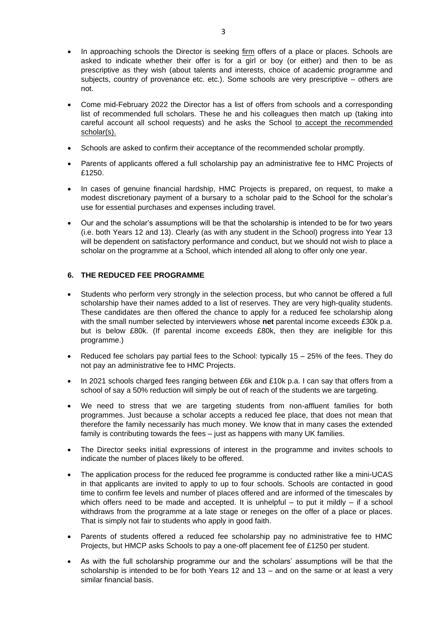- In approaching schools the Director is seeking firm offers of a place or places. Schools are asked to indicate whether their offer is for a girl or boy (or either) and then to be as prescriptive as they wish (about talents and interests, choice of academic programme and subjects, country of provenance etc. etc.). Some schools are very prescriptive – others are not.
- Come mid-February 2022 the Director has a list of offers from schools and a corresponding list of recommended full scholars. These he and his colleagues then match up (taking into careful account all school requests) and he asks the School to accept the recommended scholar(s).
- Schools are asked to confirm their acceptance of the recommended scholar promptly.
- Parents of applicants offered a full scholarship pay an administrative fee to HMC Projects of £1250.
- In cases of genuine financial hardship, HMC Projects is prepared, on request, to make a modest discretionary payment of a bursary to a scholar paid to the School for the scholar's use for essential purchases and expenses including travel.
- Our and the scholar's assumptions will be that the scholarship is intended to be for two years (i.e. both Years 12 and 13). Clearly (as with any student in the School) progress into Year 13 will be dependent on satisfactory performance and conduct, but we should not wish to place a scholar on the programme at a School, which intended all along to offer only one year.

# **6. THE REDUCED FEE PROGRAMME**

- Students who perform very strongly in the selection process, but who cannot be offered a full scholarship have their names added to a list of reserves. They are very high-quality students. These candidates are then offered the chance to apply for a reduced fee scholarship along with the small number selected by interviewers whose **net** parental income exceeds £30k p.a. but is below £80k. (If parental income exceeds £80k, then they are ineligible for this programme.)
- Reduced fee scholars pay partial fees to the School: typically 15 25% of the fees. They do not pay an administrative fee to HMC Projects.
- In 2021 schools charged fees ranging between £6k and £10k p.a. I can say that offers from a school of say a 50% reduction will simply be out of reach of the students we are targeting.
- We need to stress that we are targeting students from non-affluent families for both programmes. Just because a scholar accepts a reduced fee place, that does not mean that therefore the family necessarily has much money. We know that in many cases the extended family is contributing towards the fees – just as happens with many UK families.
- The Director seeks initial expressions of interest in the programme and invites schools to indicate the number of places likely to be offered.
- The application process for the reduced fee programme is conducted rather like a mini-UCAS in that applicants are invited to apply to up to four schools. Schools are contacted in good time to confirm fee levels and number of places offered and are informed of the timescales by which offers need to be made and accepted. It is unhelpful  $-$  to put it mildly  $-$  if a school withdraws from the programme at a late stage or reneges on the offer of a place or places. That is simply not fair to students who apply in good faith.
- Parents of students offered a reduced fee scholarship pay no administrative fee to HMC Projects, but HMCP asks Schools to pay a one-off placement fee of £1250 per student.
- As with the full scholarship programme our and the scholars' assumptions will be that the scholarship is intended to be for both Years 12 and 13 – and on the same or at least a very similar financial basis.